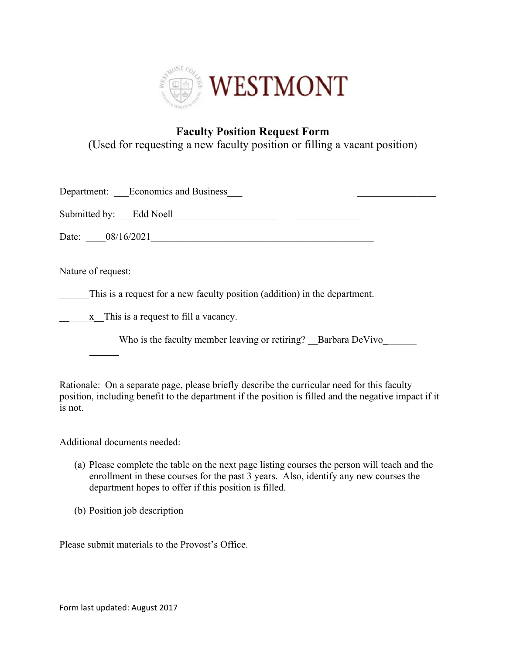

## **Faculty Position Request Form**

(Used for requesting a new faculty position or filling a vacant position)

| Department: Economics and Business |  |
|------------------------------------|--|
| Submitted by: Edd Noell            |  |
| Date: 08/16/2021                   |  |

Nature of request:

This is a request for a new faculty position (addition) in the department.

 $\frac{\mathbf{x}}{\mathbf{x}}$  This is a request to fill a vacancy.

Who is the faculty member leaving or retiring? Barbara DeVivo

Rationale: On a separate page, please briefly describe the curricular need for this faculty position, including benefit to the department if the position is filled and the negative impact if it is not.

Additional documents needed:

 $\frac{1}{2}$ 

- (a) Please complete the table on the next page listing courses the person will teach and the enrollment in these courses for the past 3 years. Also, identify any new courses the department hopes to offer if this position is filled.
- (b) Position job description

Please submit materials to the Provost's Office.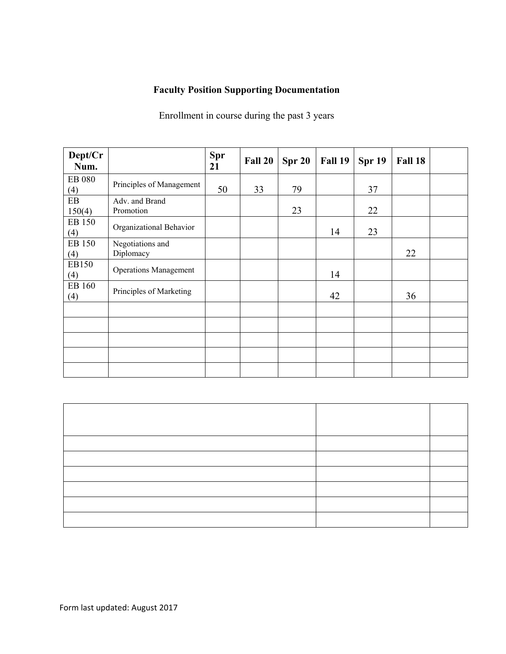## **Faculty Position Supporting Documentation**

Enrollment in course during the past 3 years

| Dept/Cr<br>Num.      |                               | <b>Spr</b><br>21 | Fall 20 | Spr 20 | Fall 19 | Spr 19 | Fall 18 |  |
|----------------------|-------------------------------|------------------|---------|--------|---------|--------|---------|--|
| <b>EB 080</b><br>(4) | Principles of Management      | 50               | 33      | 79     |         | 37     |         |  |
| EB<br>150(4)         | Adv. and Brand<br>Promotion   |                  |         | 23     |         | 22     |         |  |
| EB 150<br>(4)        | Organizational Behavior       |                  |         |        | 14      | 23     |         |  |
| EB 150<br>(4)        | Negotiations and<br>Diplomacy |                  |         |        |         |        | 22      |  |
| EB150<br>(4)         | <b>Operations Management</b>  |                  |         |        | 14      |        |         |  |
| EB 160<br>(4)        | Principles of Marketing       |                  |         |        | 42      |        | 36      |  |
|                      |                               |                  |         |        |         |        |         |  |
|                      |                               |                  |         |        |         |        |         |  |
|                      |                               |                  |         |        |         |        |         |  |
|                      |                               |                  |         |        |         |        |         |  |
|                      |                               |                  |         |        |         |        |         |  |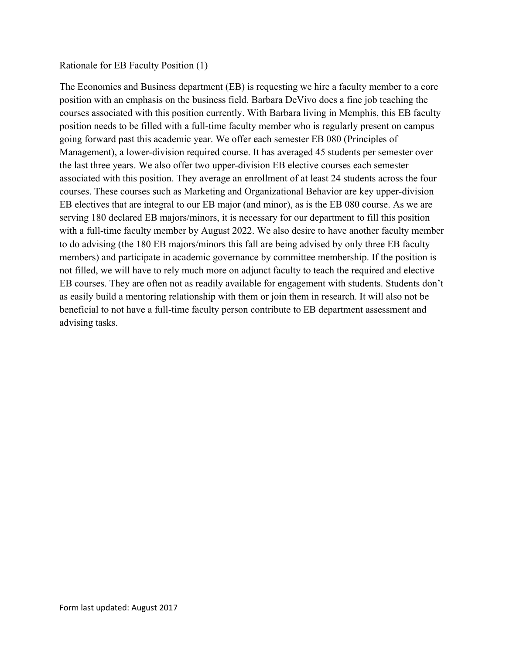## Rationale for EB Faculty Position (1)

The Economics and Business department (EB) is requesting we hire a faculty member to a core position with an emphasis on the business field. Barbara DeVivo does a fine job teaching the courses associated with this position currently. With Barbara living in Memphis, this EB faculty position needs to be filled with a full-time faculty member who is regularly present on campus going forward past this academic year. We offer each semester EB 080 (Principles of Management), a lower-division required course. It has averaged 45 students per semester over the last three years. We also offer two upper-division EB elective courses each semester associated with this position. They average an enrollment of at least 24 students across the four courses. These courses such as Marketing and Organizational Behavior are key upper-division EB electives that are integral to our EB major (and minor), as is the EB 080 course. As we are serving 180 declared EB majors/minors, it is necessary for our department to fill this position with a full-time faculty member by August 2022. We also desire to have another faculty member to do advising (the 180 EB majors/minors this fall are being advised by only three EB faculty members) and participate in academic governance by committee membership. If the position is not filled, we will have to rely much more on adjunct faculty to teach the required and elective EB courses. They are often not as readily available for engagement with students. Students don't as easily build a mentoring relationship with them or join them in research. It will also not be beneficial to not have a full-time faculty person contribute to EB department assessment and advising tasks.